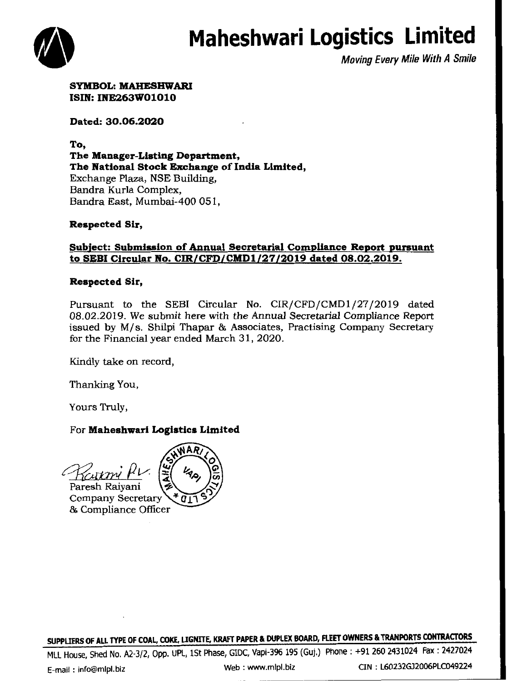# **Maheshwari Logistics Limited**



Moving Every Mile With A Smile

SYMBOL: MAHESHWARI ISIN: INE263W01010

Dated: 30.06.2020

To, The Manager-Listing Department, The National Stock Exchange of India Limited, Exchange Plaza, NSE Building, Sandra Kurla Complex, Bandra East, Mumbai-400 051,

Respected Sir,

## Subject: Submission of Annual Secretarial Compliance Report pursuant to SEBI Circular No. CIR/CFD/CMDl/27/2019 dated 08.02.2019.

## Respected Sir,

Pursuant to the SEBI Circular No. CIR/CFD/CMD1/27/2019 dated 08.02.2019. We submit here with the Annual Secretarial Compliance Report issued by M/s. Shilpi Thapar & Associates, Practising Company Secretary for the Financial year ended March 31, 2020.

Kindly take on record,

Thanking You,

Yours Truly,

## For Maheshwari Logistics Limited

Paresh Raiyani **Company Secretary** & Compliance Officer

SUPPLIERS OF ALL TYPE OF COAL, COKE, LIGNITE, KRAFT PAPER & DUPLEX BOARD, FLEET OWNERS & TRANPORTS CONTRACTORS

MLL House, Shed No. A2-3/2, Opp. UPL, lSt Phase, GIDC, Vapi-396 195 (Guj.) Phone: +91 260 2431024 Fax : 2427024

E-mail : info@mlpl.biz Web: www.mlpl.biz CIN : L60232GJ2006PLC049224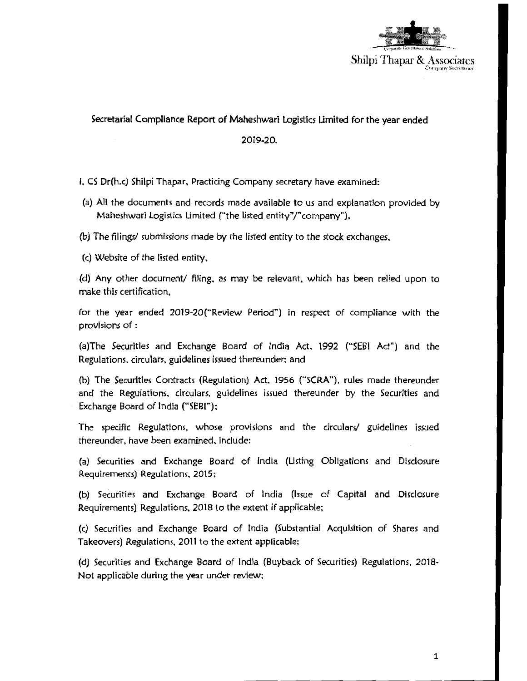

### Secretarial Compliance Report of Maheshwari Logistics Limited for the year ended

#### 2019-20.

#### I. CS Dr(h.c) Shilpi Thapar. Practicing Company secretary have examined:

- (a) All the documents and records made available to us and explanation provided by Maheshwari Logistics Limited ("the listed entity"/" company"),
- (b) *The* filings/ *submissions* made by *the* listed entity to the stock exchanges.
- (c) Website of the listed entity,

(d) Any other document/ filing. as may be relevant, which has been relied upon to make this certification,

for the year ended 2019-20("Review Period") in respect of compliance with the provisions of :

(a)The Securities and Exchange Board of India Act, 1992 ("SEBI Act") and the Regulations. circulars. guidelines issued thereunder; and

(b) The Securities Contracts (Regulation) Act. 1956 ("SCRA "), rules made thereunder and the Regulations. circulars, guidelines issued thereunder by the Securities and Exchange Board of India ("SEBI");

The specific Regulations, whose provisions and the circulars/ guidelines issued thereunder, have been examined. include:

(a) Securities and Exchange Board of India (Listing Obligations and Disclosure Requirements) Regulations, 2015;

(b) Securities and Exchange Board of India (Issue of Capital and Disclosure Requirements) Regulations. 2018 to the extent if applicable;

(c) Securities and Exchange Board of India (Substantial Acquisition of Shares and Takeovers) Regulations, 2011 to the extent applicable;

(d) Securities and Exchange Board of India (Buyback of Securities) Regulations, 2018- Not applicable during the year under review;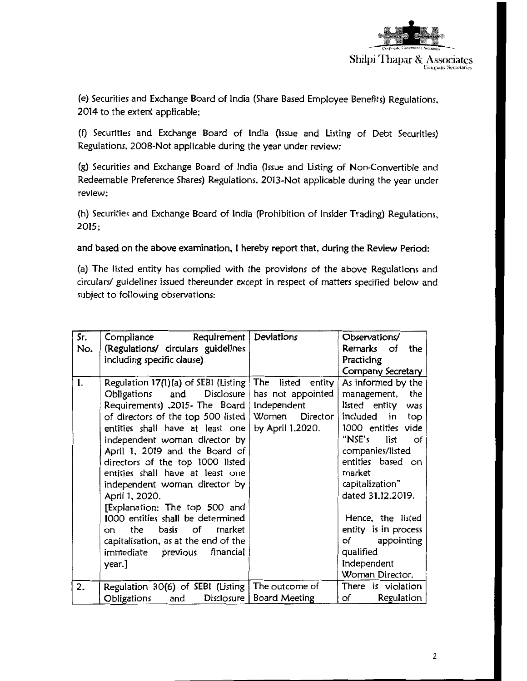

(e) Securities and Exchange Board of India (Share Based Employee Benefits) Regulations, 2014 to the extent applicable:

(f) Securities and Exchange Board of India (Issue and Listing of Debt Securities) Regulations, 2008-Not applicable during the year under review:

(g) Securities and Exchange Board of India (Issue and Listing of Non-Convertible and Redeemable Preference Shares) Regulations, 2013-Not applicable during the year under review:

(h) Securities and Exchange Board of India (Prohibition of Insider Trading) Regulations, 2015;

## and based on the above examination. I hereby report that, during the Review Period:

(a) The listed entity has complied with the provisions of the above Regulations and circulars/ guidelines issued thereunder except in respect of matters specified below and subject to following observations:

| Sr. | Compliance<br>Requirement                          | Deviations                 | Observations/         |
|-----|----------------------------------------------------|----------------------------|-----------------------|
| No. | (Regulations/ circulars guidelines                 |                            | Remarks of<br>the     |
|     | including specific clause)                         |                            | Practicing            |
|     |                                                    |                            | Company Secretary     |
| 1.  | Regulation 17(1)(a) of SEBI (Listing               | The<br>listed<br>entity    | As informed by the    |
|     | Disclosure<br>and<br>Obligations                   | has not appointed          | the<br>management,    |
|     | Requirements), 2015- The Board                     | Independent                | listed entity<br>was  |
|     | of directors of the top 500 listed                 | Women Director             | included<br>in<br>top |
|     | entities shall have at least one                   | by April 1,2020.           | 1000 entities vide    |
|     | independent woman director by                      |                            | "NSE's<br>list<br>of  |
|     | April 1, 2019 and the Board of                     |                            | companies/listed      |
|     | directors of the top 1000 listed                   |                            | entities based on     |
|     | entities shall have at least one                   |                            | market                |
|     | independent woman director by                      |                            | capitalization"       |
|     | April 1, 2020.                                     |                            | dated 31.12.2019.     |
|     | [Explanation: The top 500 and                      |                            |                       |
|     | 1000 entities shall be determined                  |                            | Hence, the listed     |
|     | of<br>the<br>basis<br>market<br>on.                |                            | entity is in process  |
|     | capitalisation, as at the end of the               |                            | appointing<br>of      |
|     | immediate<br>previous<br>financial                 |                            | qualified             |
|     | year.]                                             |                            | Independent           |
|     |                                                    |                            | Woman Director.       |
| 2.  | Regulation 30(6) of SEBI (Listing   The outcome of |                            | There is violation    |
|     | Obligations<br>and                                 | Disclosure   Board Meeting | Regulation<br>of      |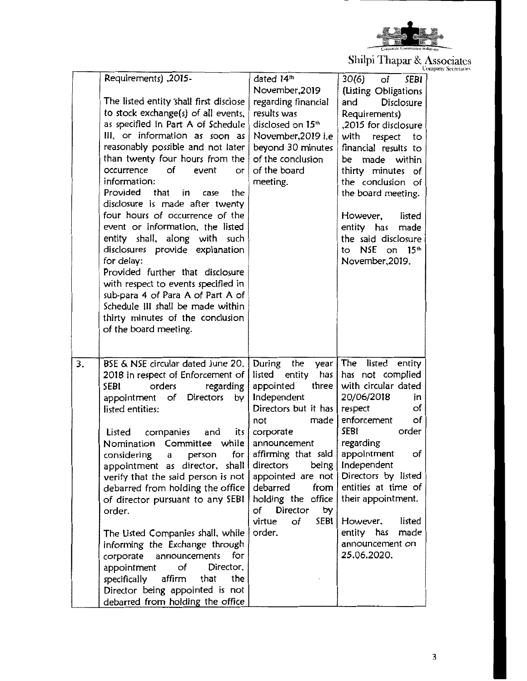

Shilpi Thapar & Associates

|    |                                                                                                                                                                                                                                                                                                                                                                                                                                                                                                                                                                                                                                                                                                                                                                  |                                                                                                                                                                                                                                                                                                                                             | $m_{\text{P}}$ a mupul by radio called                                                                                                                                                                                                                                                                                                                          | <b>Company Secretaries</b> |
|----|------------------------------------------------------------------------------------------------------------------------------------------------------------------------------------------------------------------------------------------------------------------------------------------------------------------------------------------------------------------------------------------------------------------------------------------------------------------------------------------------------------------------------------------------------------------------------------------------------------------------------------------------------------------------------------------------------------------------------------------------------------------|---------------------------------------------------------------------------------------------------------------------------------------------------------------------------------------------------------------------------------------------------------------------------------------------------------------------------------------------|-----------------------------------------------------------------------------------------------------------------------------------------------------------------------------------------------------------------------------------------------------------------------------------------------------------------------------------------------------------------|----------------------------|
|    | Requirements), 2015-<br>The listed entity shall first disclose<br>to stock exchange(s) of all events,<br>as specified in Part A of Schedule<br>III, or information as soon as<br>reasonably possible and not later<br>than twenty four hours from the<br>occurrence<br>of<br>event<br>or<br>information:<br>Provided<br>that<br>the<br>in.<br>case<br>disclosure is made after twenty<br>four hours of occurrence of the<br>event or information, the listed<br>entity shall, along with such<br>disclosures provide explanation<br>for delay:<br>Provided further that disclosure<br>with respect to events specified in<br>sub-para 4 of Para A of Part A of<br>Schedule III shall be made within<br>thirty minutes of the conclusion<br>of the board meeting. | dated 14th<br>November, 2019<br>regarding financial<br>results was<br>disclosed on 15 <sup>th</sup><br>November, 2019 i.e<br>beyond 30 minutes<br>of the conclusion<br>of the board<br>meeting.                                                                                                                                             | 30(6)<br>of<br><b>SEBI</b><br>(Listing Obligations<br>and<br><b>Disclosure</b><br>Requirements)<br>,2015 for disclosure<br>with respect<br>to<br>financial results to<br>be made within<br>thirty minutes of<br>the conclusion of<br>the board meeting.<br>However,<br>listed<br>entity has<br>made<br>the said disclosure<br>to NSE on 15th<br>November, 2019. |                            |
| 3. | BSE & NSE circular dated June 20.<br>2018 in respect of Enforcement of<br><b>SEBI</b><br>orders<br>regarding<br><b>Directors</b><br>appointment<br>of<br>by<br>listed entities:<br>Listed<br>companies<br>and<br>Nomination Committee while announcement<br>for<br>considering<br>person<br>a<br>appointment as director, shall<br>verify that the said person is not<br>debarred from holding the office<br>of director pursuant to any SEBI<br>order.<br>The Listed Companies shall, while<br>informing the Exchange through<br>announcements<br>corporate<br>for<br>of<br>Director,<br>appointment<br>the<br>specifically<br>affirm<br>that<br>Director being appointed is not<br>debarred from holding the office                                            | During<br>the<br>year  <br>listed entity<br>has $ $<br>appointed<br>three  <br>Independent<br>Directors but it has<br>made  <br>not<br>its $\int$ corporate<br>affirming that said<br>directors<br>being<br>appointed are not<br>debarred<br>from<br>holding the office<br>of Director<br>by<br>SEBI <sup>1</sup><br>virtue<br>of<br>order. | The<br>listed<br>entity<br>has not complied<br>with circular dated<br>20/06/2018<br>in<br>of<br>respect<br>enforcement<br>of<br>SEBI<br>order<br>regarding<br>appointment<br>of<br>Independent<br>Directors by listed<br>entities at time of<br>their appointment.<br>listed<br>However,<br>entity has<br>made<br>announcement on<br>25.06.2020.                |                            |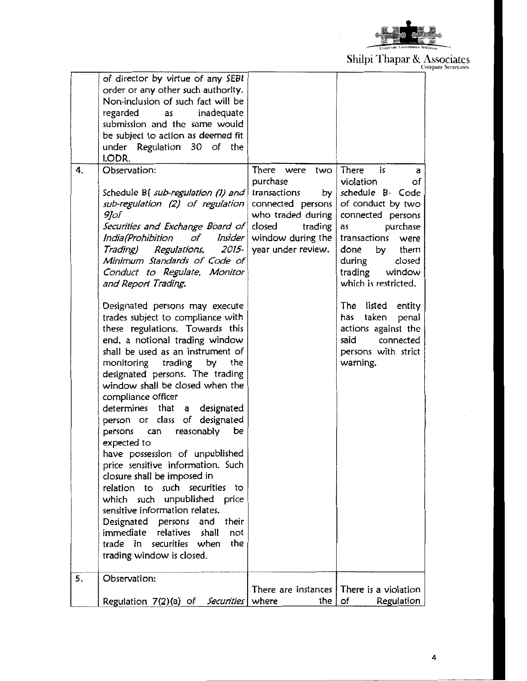

Shilpi Thapar & Associates

|    | of director by virtue of any SEBI      |                        |                                            |
|----|----------------------------------------|------------------------|--------------------------------------------|
|    | order or any other such authority.     |                        |                                            |
|    | Non-inclusion of such fact will be     |                        |                                            |
|    | regarded<br>inadequate<br>as           |                        |                                            |
|    | submission and the same would          |                        |                                            |
|    | be subject to action as deemed fit     |                        |                                            |
|    | under Regulation 30 of the             |                        |                                            |
|    | LODR.                                  |                        |                                            |
| 4. | Observation:                           | There were<br>two      | There<br>is<br>а                           |
|    |                                        | purchase               | violation<br>of                            |
|    | Schedule B(sub-regulation (1) and      | transactions<br>by $ $ | schedule B- Code                           |
|    | sub-regulation (2) of regulation       | $connected$ persons    | of conduct by two                          |
|    | 9]of                                   | who traded during      | connected persons                          |
|    | Securities and Exchange Board of       | closed<br>trading      | purchase<br>as                             |
|    | India(Prohibition<br>of<br>Insider     | window during the $ $  | transactions<br>were                       |
|    | Trading) Regulations,<br>2015-         | year under review.     | by<br>done<br>them                         |
|    | Minimum Standards of Code of           |                        | during<br>closed                           |
|    | Conduct to Regulate, Monitor           |                        | trading<br>window                          |
|    | and Report Trading.                    |                        | which is restricted.                       |
|    |                                        |                        |                                            |
|    | Designated persons may execute         |                        | The listed entity                          |
|    | trades subject to compliance with      |                        | taken<br>penal<br>has                      |
|    | these regulations. Towards this        |                        | actions against the                        |
|    | end, a notional trading window         |                        | connected<br>said                          |
|    | shall be used as an instrument of      |                        | persons with strict                        |
|    | monitoring trading by<br>the           |                        | warning.                                   |
|    | designated persons. The trading        |                        |                                            |
|    | window shall be closed when the        |                        |                                            |
|    | compliance officer                     |                        |                                            |
|    | determines that<br>a designated        |                        |                                            |
|    | person or class of designated          |                        |                                            |
|    | reasonably                             |                        |                                            |
|    | persons<br>can<br>be                   |                        |                                            |
|    | expected to                            |                        |                                            |
|    | have possession of unpublished         |                        |                                            |
|    | price sensitive information. Such      |                        |                                            |
|    | closure shall be imposed in            |                        |                                            |
|    | relation to such securities to         |                        |                                            |
|    | which such unpublished price           |                        |                                            |
|    | sensitive information relates.         |                        |                                            |
|    | their<br>Designated persons and        |                        |                                            |
|    | immediate relatives shall<br>not       |                        |                                            |
|    | trade in securities when<br>the        |                        |                                            |
|    | trading window is closed.              |                        |                                            |
| 5. | Observation:                           |                        |                                            |
|    |                                        |                        | There are instances   There is a violation |
|    | Regulation 7(2)(a) of Securities where | the $ $                | of<br>Regulation                           |

4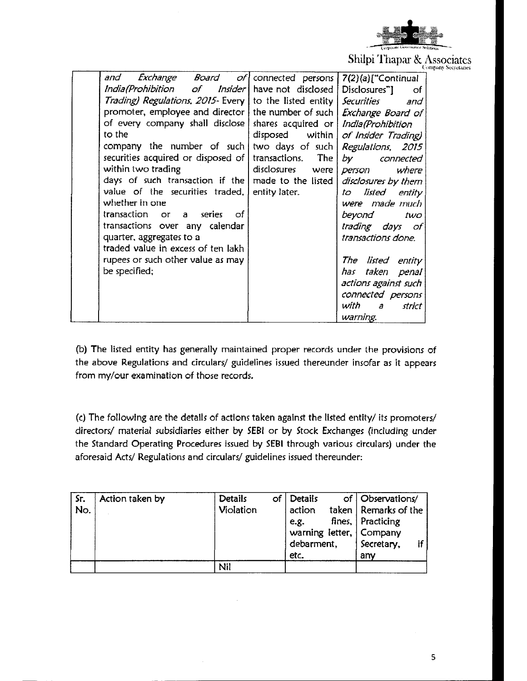

Shilpi Thapar & Associates

|                                                                          |                     | Company occretanes           |
|--------------------------------------------------------------------------|---------------------|------------------------------|
| and<br><i>Exchange Board of</i>   connected persons   7(2)(a)["Continual |                     |                              |
| India(Prohibition of Insider   have not disclosed                        |                     | Disclosures"]<br>of          |
| Trading) Regulations, 2015- Every   to the listed entity   Securities    |                     | and                          |
| promoter, employee and director   the number of such   Exchange Board of |                     |                              |
| of every company shall disclose   shares acquired or   India(Prohibition |                     |                              |
| to the                                                                   | $disposed$ within   | of Insider Trading)          |
| company the number of such                                               | two days of such    | Regulations, 2015            |
| securities acquired or disposed of                                       | transactions. The   | by<br>connected              |
| within two trading                                                       | disclosures<br>were | where<br>person              |
| days of such transaction if the                                          | made to the listed  | disclosures by them          |
| value of the securities traded,                                          | entity later.       | listed<br>entity<br>to       |
| whether in one                                                           |                     | were made much               |
| transaction or<br>series<br>of<br>a                                      |                     | beyond<br>two                |
| transactions over any calendar                                           |                     | trading days of              |
| quarter, aggregates to a                                                 |                     | transactions done.           |
| traded value in excess of ten lakh                                       |                     |                              |
| rupees or such other value as may                                        |                     | The listed entity            |
| be specified;                                                            |                     | taken penal<br>has           |
|                                                                          |                     | actions against such         |
|                                                                          |                     | connected persons            |
|                                                                          |                     | with<br>$\partial$<br>strict |
|                                                                          |                     | warning.                     |

(b) The listed entity has generally maintained proper records under the provisions of the above Regulations and circulars/ guidelines issued thereunder insofar as it appears from my/our examination of those records.

(c:) The following are the details of actions taken against the listed entity/ its promoters/ directors/ material subsidiaries either by SEBI or by Stock Exchanges (including under the Standard Operating Procedures issued by SEBI through various circulars) under the aforesaid Acts/ Regulations and circulars/ guidelines issued thereunder:

| Sr.<br>No. | Action taken by | <b>Details</b><br>Violation | of   Details<br>action<br>e.g.<br>debarment,<br>etc. | of   Observations/<br>taken   Remarks of the<br>fines, Practicing<br>warning letter, Company<br>Secretary,<br>any |  |
|------------|-----------------|-----------------------------|------------------------------------------------------|-------------------------------------------------------------------------------------------------------------------|--|
|            |                 | Nil                         |                                                      |                                                                                                                   |  |